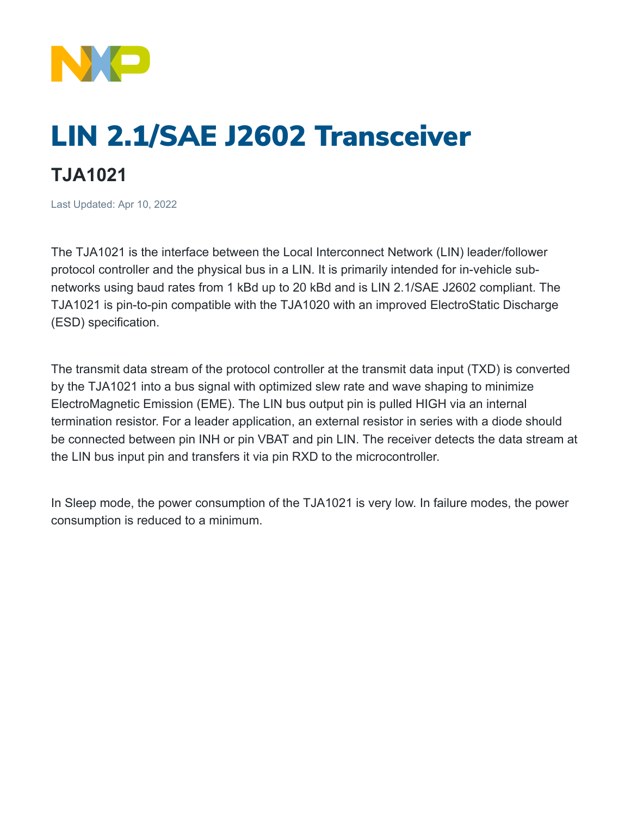

## LIN 2.1/SAE J2602 Transceiver

## **TJA1021**

Last Updated: Apr 10, 2022

The TJA1021 is the interface between the Local Interconnect Network (LIN) leader/follower protocol controller and the physical bus in a LIN. It is primarily intended for in-vehicle subnetworks using baud rates from 1 kBd up to 20 kBd and is LIN 2.1/SAE J2602 compliant. The TJA1021 is pin-to-pin compatible with the TJA1020 with an improved ElectroStatic Discharge (ESD) specification.

The transmit data stream of the protocol controller at the transmit data input (TXD) is converted by the TJA1021 into a bus signal with optimized slew rate and wave shaping to minimize ElectroMagnetic Emission (EME). The LIN bus output pin is pulled HIGH via an internal termination resistor. For a leader application, an external resistor in series with a diode should be connected between pin INH or pin VBAT and pin LIN. The receiver detects the data stream at the LIN bus input pin and transfers it via pin RXD to the microcontroller.

In Sleep mode, the power consumption of the TJA1021 is very low. In failure modes, the power consumption is reduced to a minimum.